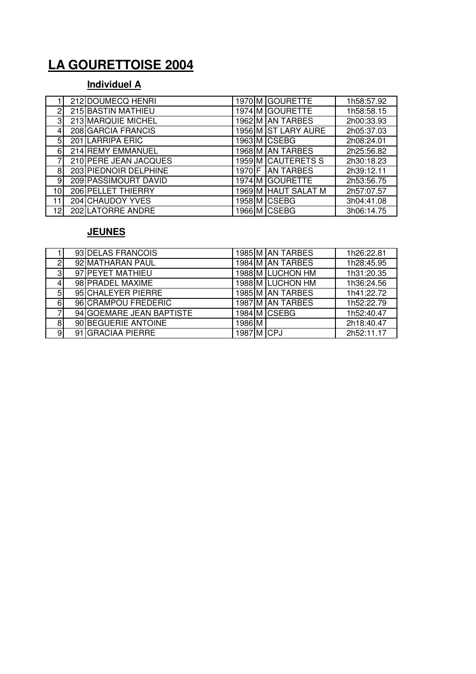# **LA GOURETTOISE 2004**

#### **Individuel A**

|                 | 212 DOUMECQ HENRI     |        | 1970 M GOURETTE     | 1h58:57.92 |
|-----------------|-----------------------|--------|---------------------|------------|
| 2               | 215 BASTIN MATHIEU    |        | 1974 M GOURETTE     | 1h58:58.15 |
| $\overline{3}$  | 213 MARQUIE MICHEL    |        | 1962 M AN TARBES    | 2h00:33.93 |
| 4               | 208 GARCIA FRANCIS    |        | 1956 M ST LARY AURE | 2h05:37.03 |
| 5               | 201 LARRIPA ERIC      |        | 1963 M CSEBG        | 2h08:24.01 |
| 6               | 214 REMY EMMANUEL     |        | 1968 M AN TARBES    | 2h25:56.82 |
|                 | 210 PERE JEAN JACQUES |        | 1959 M CAUTERETS S  | 2h30:18.23 |
| 8               | 203 PIEDNOIR DELPHINE | 1970 F | <b>AN TARBES</b>    | 2h39:12.11 |
| 9               | 209 PASSIMOURT DAVID  |        | 1974 M GOURETTE     | 2h53:56.75 |
| 10 <sub>l</sub> | 206 PELLET THIERRY    |        | 1969 M HAUT SALAT M | 2h57:07.57 |
| 11              | 204 CHAUDOY YVES      |        | 1958 M CSEBG        | 3h04:41.08 |
| 12              | 202 LATORRE ANDRE     |        | 1966 M CSEBG        | 3h06:14.75 |

#### **JEUNES**

|   | 93 DELAS FRANCOIS        |            | 1985 M AN TARBES | 1h26:22.81 |
|---|--------------------------|------------|------------------|------------|
| 2 | 92 MATHARAN PAUL         |            | 1984 M AN TARBES | 1h28:45.95 |
| 3 | 97 PEYET MATHIEU         |            | 1988 M LUCHON HM | 1h31:20.35 |
|   | 98 PRADEL MAXIME         |            | 1988 M LUCHON HM | 1h36:24.56 |
| 5 | 95 CHALEYER PIERRE       |            | 1985 M AN TARBES | 1h41:22.72 |
| 6 | 96 CRAMPOU FREDERIC      |            | 1987 M AN TARBES | 1h52:22.79 |
|   | 94 GOEMARE JEAN BAPTISTE |            | 1984 M CSEBG     | 1h52:40.47 |
| 8 | 90 BEGUERIE ANTOINE      | 1986 M     |                  | 2h18:40.47 |
| 9 | 91 GRACIAA PIERRE        | 1987 M CPJ |                  | 2h52:11.17 |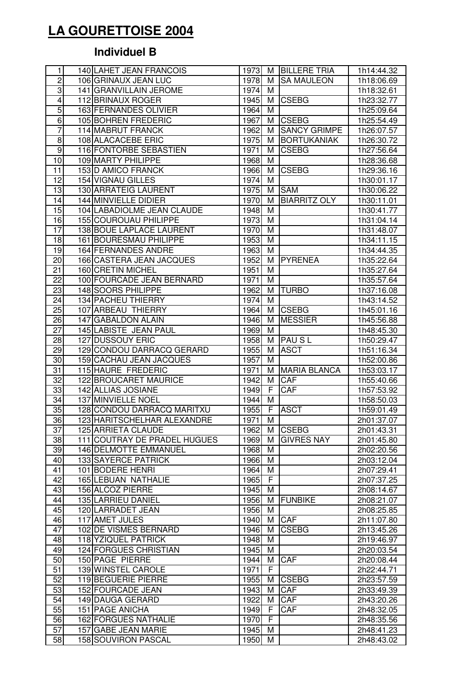# **LA GOURETTOISE 2004**

## **Individuel B**

| 1               | 140 LAHET JEAN FRANCOIS                 | 1973         | М      | <b>BILLERE TRIA</b> | 1h14:44.32               |
|-----------------|-----------------------------------------|--------------|--------|---------------------|--------------------------|
| $\overline{2}$  | 106 GRINAUX JEAN LUC                    | 1978         | м      | <b>SA MAULEON</b>   | 1h18:06.69               |
| $\overline{3}$  | 141 GRANVILLAIN JEROME                  | 1974         | м      |                     | 1h18:32.61               |
| 4               | 112 BRINAUX ROGER                       | 1945         | М      | <b>CSEBG</b>        | 1h23:32.77               |
| $\overline{5}$  | 163 FERNANDES OLIVIER                   | 1964         | M      |                     | 1h25:09.64               |
| 6               | 105 BOHREN FREDERIC                     | 1967         | М      | <b>CSEBG</b>        | 1h25:54.49               |
| 7               | 114 MABRUT FRANCK                       | 1962         | м      | <b>SANCY GRIMPE</b> | 1h26:07.57               |
| $\overline{8}$  | 108 ALACACEBE ERIC                      | 1975         | М      | <b>BORTUKANIAK</b>  | 1h26:30.72               |
| $\overline{9}$  | 116 FONTORBE SEBASTIEN                  | 1971         | М      | <b>CSEBG</b>        | 1h27:56.64               |
| 10              | 109 MARTY PHILIPPE                      | 1968         | М      |                     | 1h28:36.68               |
| 11              | 153 D AMICO FRANCK                      | 1966         | М      | <b>CSEBG</b>        | 1h29:36.16               |
| 12              | 154 VIGNAU GILLES                       | 1974         | M      |                     | 1h30:01.17               |
| 13              | 130 ARRATEIG LAURENT                    | 1975         | М      | <b>SAM</b>          | 1h30:06.22               |
| $\overline{14}$ | 144 MINVIELLE DIDIER                    | 1970         | M      | <b>BIARRITZ OLY</b> | 1h30:11.01               |
| $\overline{15}$ | 104 LABADIOLME JEAN CLAUDE              | 1948         | M      |                     | 1h30:41.77               |
| 16              | 155 COUROUAU PHILIPPE                   | 1973         | M      |                     | 1h31:04.14               |
| 17              | 138 BOUE LAPLACE LAURENT                | 1970         | M      |                     | 1h31:48.07               |
| 18              | 161 BOURESMAU PHILIPPE                  | 1953         | M      |                     | 1h34:11.15               |
| 19              | 164 FERNANDES ANDRE                     | 1963         | M      |                     | 1h34:44.35               |
| 20              | 166 CASTERA JEAN JACQUES                | 1952         | M      | <b>PYRENEA</b>      | 1h35:22.64               |
| 21              | 160 CRETIN MICHEL                       | 1951         | M      |                     | 1h35:27.64               |
| 22              | 100 FOURCADE JEAN BERNARD               | 1971         | M      |                     | 1h35:57.64               |
| 23              | 148 SOORS PHILIPPE                      | 1962         | м      | <b>TURBO</b>        | 1h37:16.08               |
| $\overline{24}$ | 134 PACHEU THIERRY                      | 1974         | M      |                     | 1h43:14.52               |
| 25              | 107 ARBEAU THIERRY                      | 1964         | М      | <b>CSEBG</b>        | 1h45:01.16               |
| $\overline{26}$ | 147 GABALDON ALAIN                      | 1946         | M      | <b>MESSIER</b>      | 1h45:56.88               |
| $\overline{27}$ | 145 LABISTE JEAN PAUL                   | 1969         | М      |                     | 1h48:45.30               |
| 28              | 127 DUSSOUY ERIC                        | 1958         | м      | <b>PAUSL</b>        | 1h50:29.47               |
| 29              | 129 CONDOU DARRACQ GERARD               | 1955         | М      | <b>ASCT</b>         | 1h51:16.34               |
| 30              | 159 CACHAU JEAN JACQUES                 | 1957         | M      |                     | 1h52:00.86               |
| 31              | 115 HAURE FREDERIC                      | 1971         | M      | <b>MARIA BLANCA</b> | 1h53:03.17               |
| 32              | 122 BROUCARET MAURICE                   | 1942         | М      | CAF                 | 1h55:40.66               |
| 33              | 142 ALLIAS JOSIANE                      | 1949         | F      | CAF                 | 1h57:53.92               |
| 34              | 137 MINVIELLE NOEL                      | 1944         | М      |                     | 1h58:50.03               |
| 35              | 128 CONDOU DARRACQ MARITXU              | 1955         | F      | <b>ASCT</b>         | 1h59:01.49               |
| 36              | 123 HARITSCHELHAR ALEXANDRE             | 1971         | M      |                     | 2h01:37.07               |
| 37              | 125 ARRIETA CLAUDE                      | 1962         | М      | <b>CSEBG</b>        | 2h01:43.31               |
| 38              | 111 COUTRAY DE PRADEL HUGUES            | 1969         | м      | <b>GIVRES NAY</b>   | 2h01:45.80               |
| 39              | 146 DELMOTTE EMMANUEL                   | 1968         | м      |                     | 2h02:20.56               |
| 40              | <b>133 SAYERCE PATRICK</b>              | 1966         | M      |                     | 2h03:12.04               |
| 41              | 101 BODERE HENRI                        | 1964         | М      |                     | 2h07:29.41               |
| 42              | 165 LEBUAN NATHALIE                     | 1965         | F      |                     | 2h07:37.25               |
| 43              | 156 ALCOZ PIERRE                        | 1945         | M      |                     | 2h08:14.67               |
| 44              | 135 LARRIEU DANIEL<br>120 LARRADET JEAN | 1956         | М      | <b>FUNBIKE</b>      | 2h08:21.07               |
| 45<br>46        | 117 AMET JULES                          | 1956<br>1940 | M<br>м | CAF                 | 2h08:25.85<br>2h11:07.80 |
| 47              | 102 DE VISMES BERNARD                   | 1946         | м      | <b>CSEBG</b>        | 2h13:45.26               |
| 48              | 118 YZIQUEL PATRICK                     | 1948         | M      |                     | 2h19:46.97               |
| 49              | 124 FORGUES CHRISTIAN                   | 1945         | M      |                     | 2h20:03.54               |
| 50              | 150 PAGE PIERRE                         | 1944         | M      | CAF                 | 2h20:08.44               |
| $\overline{51}$ | 139 WINSTEL CAROLE                      | 1971         | F      |                     | 2h22:44.71               |
| 52              | 119 BEGUERIE PIERRE                     | 1955         | м      | <b>CSEBG</b>        | 2h23:57.59               |
| 53              | 152 FOURCADE JEAN                       | 1943         | м      | CAF                 | 2h33:49.39               |
| 54              | 149 DAUGA GERARD                        | 1922         | м      | CAF                 | 2h43:20.26               |
| 55              | 151 PAGE ANICHA                         | 1949         | F      | CAF                 | 2h48:32.05               |
| 56              | 162 FORGUES NATHALIE                    | 1970         | F      |                     | 2h48:35.56               |
| 57              | 157 GABE JEAN MARIE                     | 1945         | M      |                     | 2h48:41.23               |
| 58              | 158 SOUVIRON PASCAL                     | 1950         | М      |                     | 2h48:43.02               |
|                 |                                         |              |        |                     |                          |